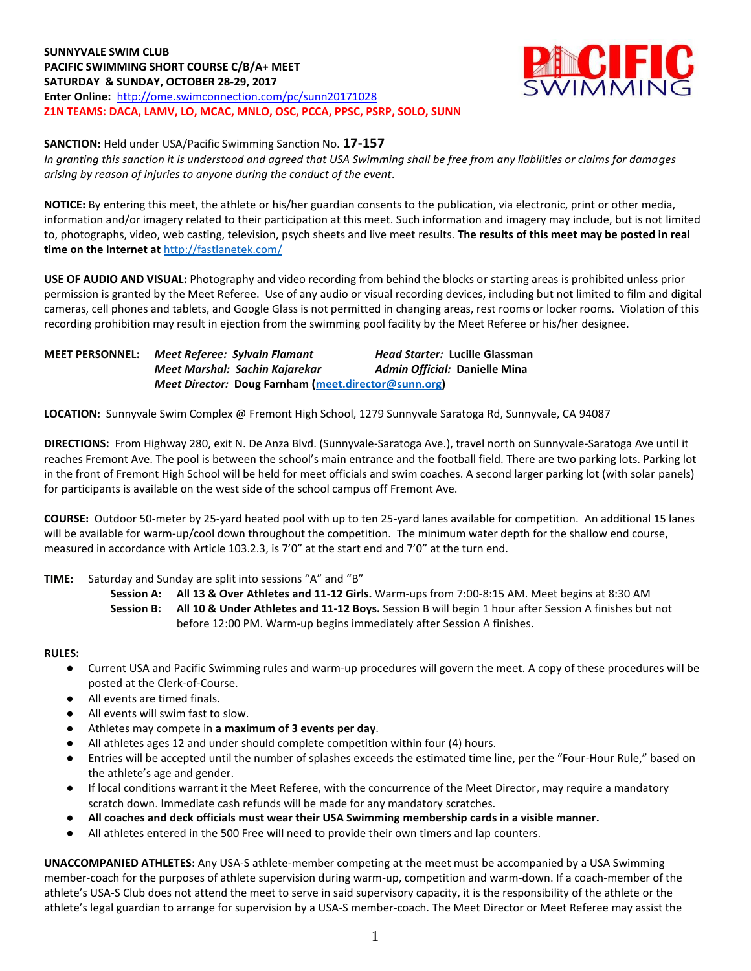**SUNNYVALE SWIM CLUB PACIFIC SWIMMING SHORT COURSE C/B/A+ MEET SATURDAY & SUNDAY, OCTOBER 28-29, 2017 Enter Online:** http://ome.swimconnection.com/pc/sunn20171028 **Z1N TEAMS: DACA, LAMV, LO, MCAC, MNLO, OSC, PCCA, PPSC, PSRP, SOLO, SUNN**



**SANCTION:** Held under USA/Pacific Swimming Sanction No. **17-157**

*In granting this sanction it is understood and agreed that USA Swimming shall be free from any liabilities or claims for damages arising by reason of injuries to anyone during the conduct of the event*.

**NOTICE:** By entering this meet, the athlete or his/her guardian consents to the publication, via electronic, print or other media, information and/or imagery related to their participation at this meet. Such information and imagery may include, but is not limited to, photographs, video, web casting, television, psych sheets and live meet results. **The results of this meet may be posted in real time on the Internet at** <http://fastlanetek.com/>

**USE OF AUDIO AND VISUAL:** Photography and video recording from behind the blocks or starting areas is prohibited unless prior permission is granted by the Meet Referee. Use of any audio or visual recording devices, including but not limited to film and digital cameras, cell phones and tablets, and Google Glass is not permitted in changing areas, rest rooms or locker rooms. Violation of this recording prohibition may result in ejection from the swimming pool facility by the Meet Referee or his/her designee.

**MEET PERSONNEL:** *Meet Referee: Sylvain Flamant Head Starter:* **Lucille Glassman** *Meet Marshal: Sachin Kajarekar Admin Official:* **Danielle Mina**  *Meet Director:* **Doug Farnham [\(meet.director@sunn.org\)](mailto:meet.director@sunn.org)**

**LOCATION:** Sunnyvale Swim Complex @ Fremont High School, 1279 Sunnyvale Saratoga Rd, Sunnyvale, CA 94087

**DIRECTIONS:** From Highway 280, exit N. De Anza Blvd. (Sunnyvale-Saratoga Ave.), travel north on Sunnyvale-Saratoga Ave until it reaches Fremont Ave. The pool is between the school's main entrance and the football field. There are two parking lots. Parking lot in the front of Fremont High School will be held for meet officials and swim coaches. A second larger parking lot (with solar panels) for participants is available on the west side of the school campus off Fremont Ave.

**COURSE:** Outdoor 50-meter by 25-yard heated pool with up to ten 25-yard lanes available for competition.An additional 15 lanes will be available for warm-up/cool down throughout the competition. The minimum water depth for the shallow end course, measured in accordance with Article 103.2.3, is 7'0" at the start end and 7'0" at the turn end.

## **TIME:** Saturday and Sunday are split into sessions "A" and "B"

**Session A: All 13 & Over Athletes and 11-12 Girls.** Warm-ups from 7:00-8:15 AM. Meet begins at 8:30 AM **Session B: All 10 & Under Athletes and 11-12 Boys.** Session B will begin 1 hour after Session A finishes but not before 12:00 PM. Warm-up begins immediately after Session A finishes.

**RULES:**

- Current USA and Pacific Swimming rules and warm-up procedures will govern the meet. A copy of these procedures will be posted at the Clerk-of-Course.
- All events are timed finals.
- All events will swim fast to slow.
- Athletes may compete in a maximum of 3 events per day.
- All athletes ages 12 and under should complete competition within four (4) hours.
- Entries will be accepted until the number of splashes exceeds the estimated time line, per the "Four-Hour Rule," based on the athlete's age and gender.
- If local conditions warrant it the Meet Referee, with the concurrence of the Meet Director, may require a mandatory scratch down. Immediate cash refunds will be made for any mandatory scratches.
- **All coaches and deck officials must wear their USA Swimming membership cards in a visible manner.**
- All athletes entered in the 500 Free will need to provide their own timers and lap counters.

**UNACCOMPANIED ATHLETES:** Any USA-S athlete-member competing at the meet must be accompanied by a USA Swimming member-coach for the purposes of athlete supervision during warm-up, competition and warm-down. If a coach-member of the athlete's USA-S Club does not attend the meet to serve in said supervisory capacity, it is the responsibility of the athlete or the athlete's legal guardian to arrange for supervision by a USA-S member-coach. The Meet Director or Meet Referee may assist the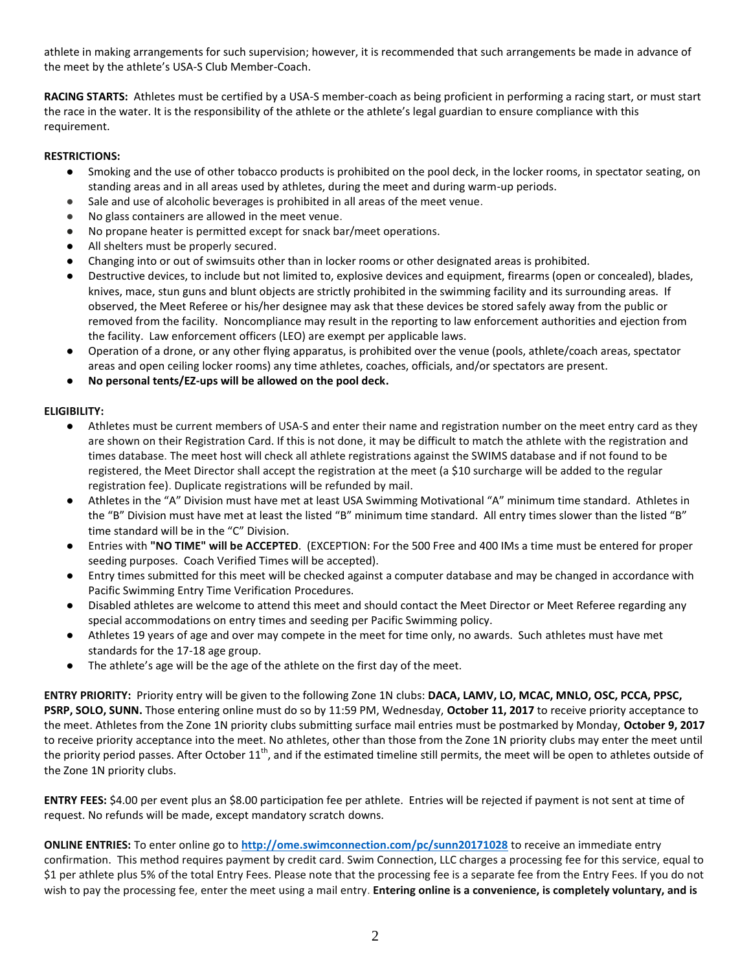athlete in making arrangements for such supervision; however, it is recommended that such arrangements be made in advance of the meet by the athlete's USA-S Club Member-Coach.

**RACING STARTS:** Athletes must be certified by a USA-S member-coach as being proficient in performing a racing start, or must start the race in the water. It is the responsibility of the athlete or the athlete's legal guardian to ensure compliance with this requirement.

# **RESTRICTIONS:**

- Smoking and the use of other tobacco products is prohibited on the pool deck, in the locker rooms, in spectator seating, on standing areas and in all areas used by athletes, during the meet and during warm-up periods.
- Sale and use of alcoholic beverages is prohibited in all areas of the meet venue.
- No glass containers are allowed in the meet venue.
- No propane heater is permitted except for snack bar/meet operations.
- All shelters must be properly secured.
- Changing into or out of swimsuits other than in locker rooms or other designated areas is prohibited.
- Destructive devices, to include but not limited to, explosive devices and equipment, firearms (open or concealed), blades, knives, mace, stun guns and blunt objects are strictly prohibited in the swimming facility and its surrounding areas. If observed, the Meet Referee or his/her designee may ask that these devices be stored safely away from the public or removed from the facility. Noncompliance may result in the reporting to law enforcement authorities and ejection from the facility. Law enforcement officers (LEO) are exempt per applicable laws.
- Operation of a drone, or any other flying apparatus, is prohibited over the venue (pools, athlete/coach areas, spectator areas and open ceiling locker rooms) any time athletes, coaches, officials, and/or spectators are present.
- No personal tents/EZ-ups will be allowed on the pool deck.

# **ELIGIBILITY:**

- Athletes must be current members of USA-S and enter their name and registration number on the meet entry card as they are shown on their Registration Card. If this is not done, it may be difficult to match the athlete with the registration and times database. The meet host will check all athlete registrations against the SWIMS database and if not found to be registered, the Meet Director shall accept the registration at the meet (a \$10 surcharge will be added to the regular registration fee). Duplicate registrations will be refunded by mail.
- Athletes in the "A" Division must have met at least USA Swimming Motivational "A" minimum time standard. Athletes in the "B" Division must have met at least the listed "B" minimum time standard. All entry times slower than the listed "B" time standard will be in the "C" Division.
- Entries with **"NO TIME" will be ACCEPTED**. (EXCEPTION: For the 500 Free and 400 IMs a time must be entered for proper seeding purposes. Coach Verified Times will be accepted).
- Entry times submitted for this meet will be checked against a computer database and may be changed in accordance with Pacific Swimming Entry Time Verification Procedures.
- Disabled athletes are welcome to attend this meet and should contact the Meet Director or Meet Referee regarding any special accommodations on entry times and seeding per Pacific Swimming policy.
- Athletes 19 years of age and over may compete in the meet for time only, no awards. Such athletes must have met standards for the 17-18 age group.
- The athlete's age will be the age of the athlete on the first day of the meet.

**ENTRY PRIORITY:** Priority entry will be given to the following Zone 1N clubs: **DACA, LAMV, LO, MCAC, MNLO, OSC, PCCA, PPSC, PSRP, SOLO, SUNN.** Those entering online must do so by 11:59 PM, Wednesday, **October 11, 2017** to receive priority acceptance to the meet. Athletes from the Zone 1N priority clubs submitting surface mail entries must be postmarked by Monday, **October 9, 2017**  to receive priority acceptance into the meet. No athletes, other than those from the Zone 1N priority clubs may enter the meet until the priority period passes. After October  $11<sup>th</sup>$ , and if the estimated timeline still permits, the meet will be open to athletes outside of the Zone 1N priority clubs.

**ENTRY FEES:** \$4.00 per event plus an \$8.00 participation fee per athlete. Entries will be rejected if payment is not sent at time of request. No refunds will be made, except mandatory scratch downs.

**ONLINE ENTRIES:** To enter online go to **<http://ome.swimconnection.com/pc/sunn20171028>** to receive an immediate entry confirmation. This method requires payment by credit card. Swim Connection, LLC charges a processing fee for this service, equal to \$1 per athlete plus 5% of the total Entry Fees. Please note that the processing fee is a separate fee from the Entry Fees. If you do not wish to pay the processing fee, enter the meet using a mail entry. **Entering online is a convenience, is completely voluntary, and is**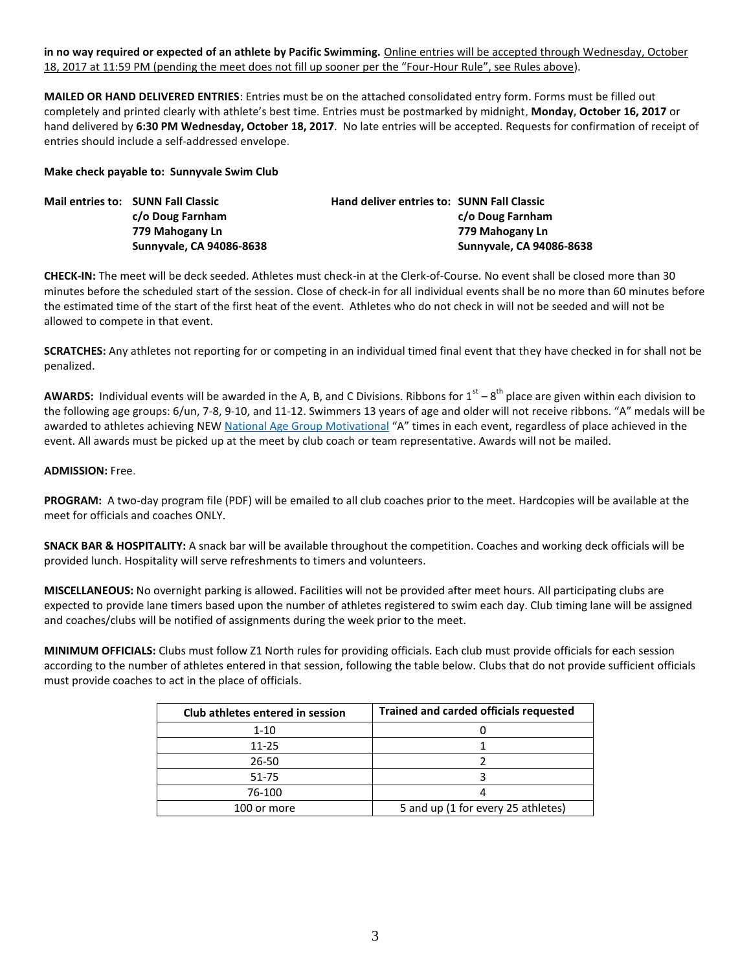**in no way required or expected of an athlete by Pacific Swimming.** Online entries will be accepted through Wednesday, October 18, 2017 at 11:59 PM (pending the meet does not fill up sooner per the "Four-Hour Rule", see Rules above).

**MAILED OR HAND DELIVERED ENTRIES**: Entries must be on the attached consolidated entry form. Forms must be filled out completely and printed clearly with athlete's best time. Entries must be postmarked by midnight, **Monday, October 16, 2017** or hand delivered by **6:30 PM Wednesday, October 18, 2017**. No late entries will be accepted. Requests for confirmation of receipt of entries should include a self-addressed envelope.

### **Make check payable to: Sunnyvale Swim Club**

| <b>Mail entries to: SUNN Fall Classic</b> | <b>Hand deliver entries to: SUNN Fall Classic</b> |                          |
|-------------------------------------------|---------------------------------------------------|--------------------------|
| c/o Doug Farnham                          |                                                   | c/o Doug Farnham         |
| 779 Mahogany Ln                           |                                                   | 779 Mahogany Ln          |
| Sunnyvale, CA 94086-8638                  |                                                   | Sunnyvale, CA 94086-8638 |

**CHECK-IN:** The meet will be deck seeded. Athletes must check-in at the Clerk-of-Course. No event shall be closed more than 30 minutes before the scheduled start of the session. Close of check-in for all individual events shall be no more than 60 minutes before the estimated time of the start of the first heat of the event. Athletes who do not check in will not be seeded and will not be allowed to compete in that event.

**SCRATCHES:** Any athletes not reporting for or competing in an individual timed final event that they have checked in for shall not be penalized.

AWARDS: Individual events will be awarded in the A, B, and C Divisions. Ribbons for 1<sup>st</sup> – 8<sup>th</sup> place are given within each division to the following age groups: 6/un, 7-8, 9-10, and 11-12. Swimmers 13 years of age and older will not receive ribbons. "A" medals will be awarded to athletes achieving NEW [National Age Group Motivational](http://www.pacswim.org/swim-meet-times/standards) "A" times in each event, regardless of place achieved in the event. All awards must be picked up at the meet by club coach or team representative. Awards will not be mailed.

#### **ADMISSION:** Free.

**PROGRAM:** A two-day program file (PDF) will be emailed to all club coaches prior to the meet. Hardcopies will be available at the meet for officials and coaches ONLY.

**SNACK BAR & HOSPITALITY:** A snack bar will be available throughout the competition. Coaches and working deck officials will be provided lunch. Hospitality will serve refreshments to timers and volunteers.

**MISCELLANEOUS:** No overnight parking is allowed. Facilities will not be provided after meet hours. All participating clubs are expected to provide lane timers based upon the number of athletes registered to swim each day. Club timing lane will be assigned and coaches/clubs will be notified of assignments during the week prior to the meet.

**MINIMUM OFFICIALS:** Clubs must follow Z1 North rules for providing officials. Each club must provide officials for each session according to the number of athletes entered in that session, following the table below. Clubs that do not provide sufficient officials must provide coaches to act in the place of officials.

| Club athletes entered in session | Trained and carded officials requested |  |  |
|----------------------------------|----------------------------------------|--|--|
| $1 - 10$                         |                                        |  |  |
| $11 - 25$                        |                                        |  |  |
| 26-50                            |                                        |  |  |
| 51-75                            |                                        |  |  |
| 76-100                           |                                        |  |  |
| 100 or more                      | 5 and up (1 for every 25 athletes)     |  |  |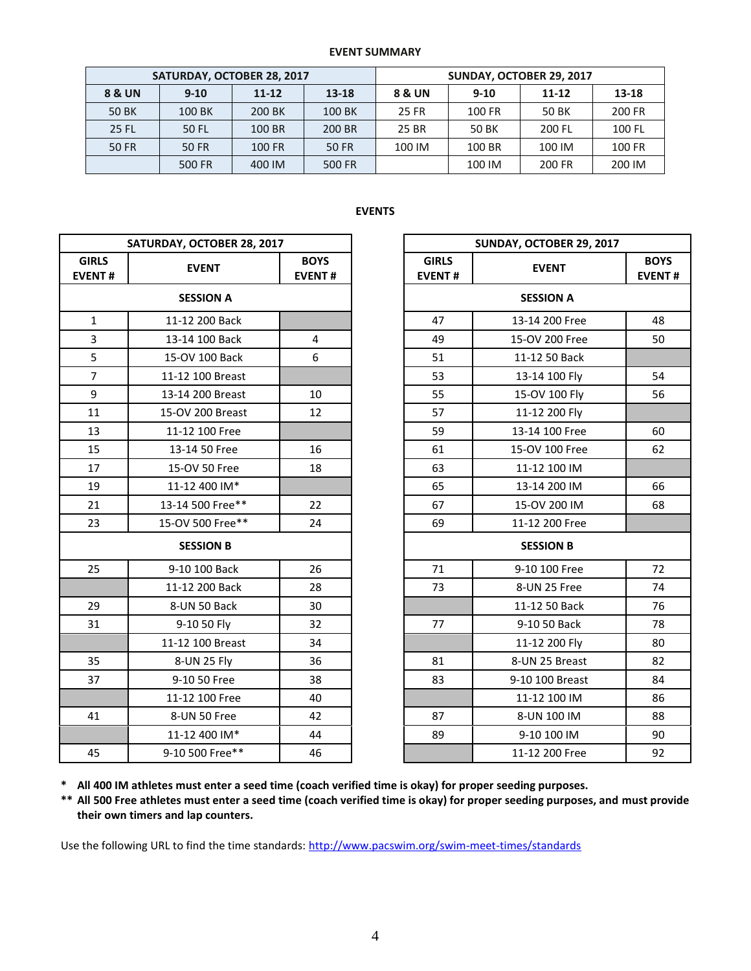#### **EVENT SUMMARY**

| SATURDAY, OCTOBER 28, 2017 |          |           |        | SUNDAY, OCTOBER 29, 2017 |          |           |        |
|----------------------------|----------|-----------|--------|--------------------------|----------|-----------|--------|
| 8 & UN                     | $9 - 10$ | $11 - 12$ | 13-18  | 8 & UN                   | $9 - 10$ | $11 - 12$ | 13-18  |
| <b>50 BK</b>               | 100 BK   | 200 BK    | 100 BK | 25 FR                    | 100 FR   | 50 BK     | 200 FR |
| <b>25 FL</b>               | 50 FL    | 100 BR    | 200 BR | 25 BR                    | 50 BK    | 200 FL    | 100 FL |
| 50 FR                      | 50 FR    | 100 FR    | 50 FR  | 100 IM                   | 100 BR   | 100 IM    | 100 FR |
|                            | 500 FR   | 400 IM    | 500 FR |                          | 100 IM   | 200 FR    | 200 IM |

# **EVENTS**

| SATURDAY, OCTOBER 28, 2017    |                  |                              | SUNDAY, OCTOBER 29, 2017      |                  |                           |  |
|-------------------------------|------------------|------------------------------|-------------------------------|------------------|---------------------------|--|
| <b>GIRLS</b><br><b>EVENT#</b> | <b>EVENT</b>     | <b>BOYS</b><br><b>EVENT#</b> | <b>GIRLS</b><br><b>EVENT#</b> | <b>EVENT</b>     | <b>BOY</b><br><b>EVEN</b> |  |
|                               | <b>SESSION A</b> |                              |                               | <b>SESSION A</b> |                           |  |
| $\mathbf{1}$                  | 11-12 200 Back   |                              | 47                            | 13-14 200 Free   | 48                        |  |
| $\overline{3}$                | 13-14 100 Back   | $\overline{4}$               | 49                            | 15-OV 200 Free   | 50                        |  |
| 5                             | 15-OV 100 Back   | 6                            | 51                            | 11-12 50 Back    |                           |  |
| $\overline{7}$                | 11-12 100 Breast |                              | 53                            | 13-14 100 Fly    | 54                        |  |
| 9                             | 13-14 200 Breast | 10                           | 55                            | 15-OV 100 Fly    | 56                        |  |
| 11                            | 15-OV 200 Breast | 12                           | 57                            | 11-12 200 Fly    |                           |  |
| 13                            | 11-12 100 Free   |                              | 59                            | 13-14 100 Free   | 60                        |  |
| 15                            | 13-14 50 Free    | 16                           | 61                            | 15-OV 100 Free   | 62                        |  |
| 17                            | 15-OV 50 Free    | 18                           | 63                            | 11-12 100 IM     |                           |  |
| 19                            | 11-12 400 IM*    |                              | 65                            | 13-14 200 IM     | 66                        |  |
| 21                            | 13-14 500 Free** | 22                           | 67                            | 15-OV 200 IM     | 68                        |  |
| 23                            | 15-OV 500 Free** | 24                           | 69                            | 11-12 200 Free   |                           |  |
|                               | <b>SESSION B</b> |                              |                               | <b>SESSION B</b> |                           |  |
| 25                            | 9-10 100 Back    | 26                           | 71                            | 9-10 100 Free    | 72                        |  |
|                               | 11-12 200 Back   | 28                           | 73                            | 8-UN 25 Free     | 74                        |  |
| 29                            | 8-UN 50 Back     | 30                           |                               | 11-12 50 Back    | 76                        |  |
| 31                            | 9-10 50 Fly      | 32                           | 77                            | 9-10 50 Back     | 78                        |  |
|                               | 11-12 100 Breast | 34                           |                               | 11-12 200 Fly    | 80                        |  |
| 35                            | 8-UN 25 Fly      | 36                           | 81                            | 8-UN 25 Breast   | 82                        |  |
| 37                            | 9-10 50 Free     | 38                           | 83                            | 9-10 100 Breast  | 84                        |  |
|                               | 11-12 100 Free   | 40                           |                               | 11-12 100 IM     | 86                        |  |
| 41                            | 8-UN 50 Free     | 42                           | 87                            | 8-UN 100 IM      | 88                        |  |
|                               | 11-12 400 IM*    | 44                           | 89                            | 9-10 100 IM      | 90                        |  |
| 45                            | 9-10 500 Free**  | 46                           |                               | 11-12 200 Free   | 92                        |  |

| DAY, OCTOBER 28, 2017 |                              |                               | SUNDAY, OCTOBER 29, 2017 |    |  |
|-----------------------|------------------------------|-------------------------------|--------------------------|----|--|
| <b>EVENT</b>          | <b>BOYS</b><br><b>EVENT#</b> | <b>GIRLS</b><br><b>EVENT#</b> | <b>EVENT</b>             |    |  |
| <b>SESSION A</b>      |                              |                               | <b>SESSION A</b>         |    |  |
| 11-12 200 Back        |                              | 47                            | 13-14 200 Free           |    |  |
| 13-14 100 Back        | 4                            | 49                            | 15-OV 200 Free           | 50 |  |
| 15-OV 100 Back        | 6                            | 51                            | 11-12 50 Back            |    |  |
| 11-12 100 Breast      |                              | 53                            | 13-14 100 Fly            | 54 |  |
| 13-14 200 Breast      | 10                           | 55                            | 15-OV 100 Fly            | 56 |  |
| 15-OV 200 Breast      | 12                           | 57                            | 11-12 200 Fly            |    |  |
| 11-12 100 Free        |                              | 59                            | 13-14 100 Free           | 60 |  |
| 13-14 50 Free         | 16                           | 61                            | 15-OV 100 Free           | 62 |  |
| 15-OV 50 Free         | 18                           | 63                            | 11-12 100 IM             |    |  |
| 11-12 400 IM*         |                              | 65                            | 13-14 200 IM             |    |  |
| 13-14 500 Free**      | 22                           | 67                            | 15-OV 200 IM             |    |  |
| 15-OV 500 Free**      | 24                           | 69                            | 11-12 200 Free           |    |  |
| <b>SESSION B</b>      |                              |                               | <b>SESSION B</b>         |    |  |
| 9-10 100 Back         | 26                           | 71                            | 9-10 100 Free            |    |  |
| 11-12 200 Back        | 28                           | 73                            | 8-UN 25 Free             |    |  |
| 8-UN 50 Back          | 30                           |                               | 11-12 50 Back            |    |  |
| 9-10 50 Fly           | 32                           | 77                            | 9-10 50 Back             |    |  |
| 11-12 100 Breast      | 34                           |                               | 11-12 200 Fly            |    |  |
| 8-UN 25 Fly           | 36                           | 81                            | 8-UN 25 Breast           | 82 |  |
| 9-10 50 Free          | 38                           | 83                            | 9-10 100 Breast          | 84 |  |
| 11-12 100 Free        | 40                           |                               | 11-12 100 IM             | 86 |  |
| 8-UN 50 Free          | 42                           | 87                            | 8-UN 100 IM              | 88 |  |
| 11-12 400 IM*         | 44                           | 89                            | 9-10 100 IM              | 90 |  |
| 9-10 500 Free**       | 46                           |                               | 11-12 200 Free           | 92 |  |

**\* All 400 IM athletes must enter a seed time (coach verified time is okay) for proper seeding purposes.**

**\*\* All 500 Free athletes must enter a seed time (coach verified time is okay) for proper seeding purposes, and must provide their own timers and lap counters.**

Use the following URL to find the time standards: <http://www.pacswim.org/swim-meet-times/standards>